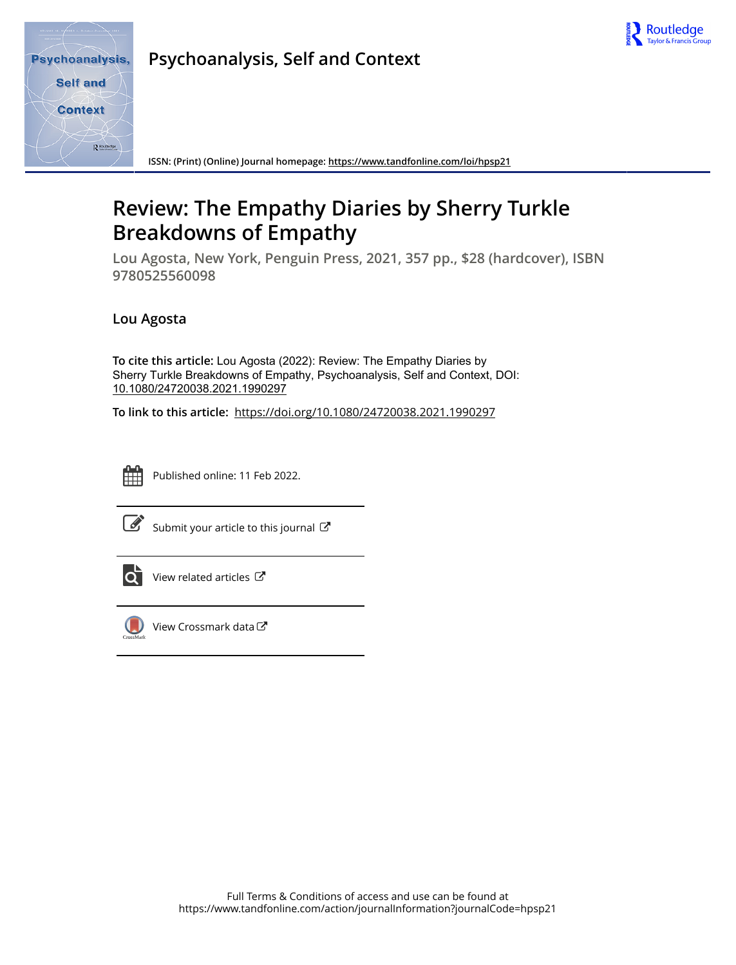

**Psychoanalysis, Self and Context**

**ISSN: (Print) (Online) Journal homepage:<https://www.tandfonline.com/loi/hpsp21>**

## **Review: The Empathy Diaries by Sherry Turkle Breakdowns of Empathy**

**Lou Agosta, New York, Penguin Press, 2021, 357 pp., \$28 (hardcover), ISBN 9780525560098**

## **Lou Agosta**

**To cite this article:** Lou Agosta (2022): Review: The Empathy Diaries by Sherry Turkle Breakdowns of Empathy, Psychoanalysis, Self and Context, DOI: [10.1080/24720038.2021.1990297](https://www.tandfonline.com/action/showCitFormats?doi=10.1080/24720038.2021.1990297)

**To link to this article:** <https://doi.org/10.1080/24720038.2021.1990297>



Published online: 11 Feb 2022.

| ۰. |
|----|

[Submit your article to this journal](https://www.tandfonline.com/action/authorSubmission?journalCode=hpsp21&show=instructions)  $\mathbb{Z}$ 



 $\overrightarrow{Q}$  [View related articles](https://www.tandfonline.com/doi/mlt/10.1080/24720038.2021.1990297)  $\overrightarrow{C}$ 



[View Crossmark data](http://crossmark.crossref.org/dialog/?doi=10.1080/24720038.2021.1990297&domain=pdf&date_stamp=2022-02-11)<sup>C</sup>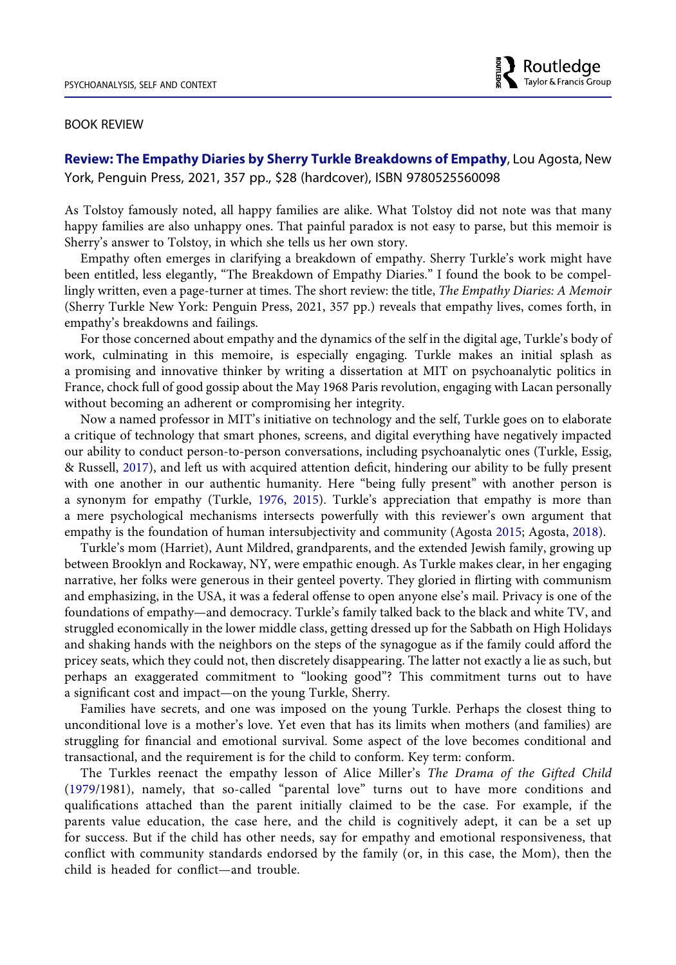## BOOK REVIEW

**Review: The Empathy Diaries by Sherry Turkle Breakdowns of Empathy**, Lou Agosta, New York, Penguin Press, 2021, 357 pp., \$28 (hardcover), ISBN 9780525560098

As Tolstoy famously noted, all happy families are alike. What Tolstoy did not note was that many happy families are also unhappy ones. That painful paradox is not easy to parse, but this memoir is Sherry's answer to Tolstoy, in which she tells us her own story.

Empathy often emerges in clarifying a breakdown of empathy. Sherry Turkle's work might have been entitled, less elegantly, "The Breakdown of Empathy Diaries." I found the book to be compellingly written, even a page-turner at times. The short review: the title, *The Empathy Diaries: A Memoir*  (Sherry Turkle New York: Penguin Press, 2021, 357 pp.) reveals that empathy lives, comes forth, in empathy's breakdowns and failings.

For those concerned about empathy and the dynamics of the self in the digital age, Turkle's body of work, culminating in this memoire, is especially engaging. Turkle makes an initial splash as a promising and innovative thinker by writing a dissertation at MIT on psychoanalytic politics in France, chock full of good gossip about the May 1968 Paris revolution, engaging with Lacan personally without becoming an adherent or compromising her integrity.

<span id="page-1-3"></span>Now a named professor in MIT's initiative on technology and the self, Turkle goes on to elaborate a critique of technology that smart phones, screens, and digital everything have negatively impacted our ability to conduct person-to-person conversations, including psychoanalytic ones (Turkle, Essig, & Russell, [2017\)](#page-5-0), and left us with acquired attention deficit, hindering our ability to be fully present with one another in our authentic humanity. Here "being fully present" with another person is a synonym for empathy (Turkle, [1976](#page-5-1), [2015\)](#page-5-2). Turkle's appreciation that empathy is more than a mere psychological mechanisms intersects powerfully with this reviewer's own argument that empathy is the foundation of human intersubjectivity and community (Agosta [2015;](#page-5-3) Agosta, [2018](#page-5-4)).

<span id="page-1-2"></span><span id="page-1-0"></span>Turkle's mom (Harriet), Aunt Mildred, grandparents, and the extended Jewish family, growing up between Brooklyn and Rockaway, NY, were empathic enough. As Turkle makes clear, in her engaging narrative, her folks were generous in their genteel poverty. They gloried in flirting with communism and emphasizing, in the USA, it was a federal offense to open anyone else's mail. Privacy is one of the foundations of empathy—and democracy. Turkle's family talked back to the black and white TV, and struggled economically in the lower middle class, getting dressed up for the Sabbath on High Holidays and shaking hands with the neighbors on the steps of the synagogue as if the family could afford the pricey seats, which they could not, then discretely disappearing. The latter not exactly a lie as such, but perhaps an exaggerated commitment to "looking good"? This commitment turns out to have a significant cost and impact—on the young Turkle, Sherry.

Families have secrets, and one was imposed on the young Turkle. Perhaps the closest thing to unconditional love is a mother's love. Yet even that has its limits when mothers (and families) are struggling for financial and emotional survival. Some aspect of the love becomes conditional and transactional, and the requirement is for the child to conform. Key term: conform.

<span id="page-1-1"></span>The Turkles reenact the empathy lesson of Alice Miller's *The Drama of the Gifted Child*  ([1979](#page-5-5)/1981), namely, that so-called "parental love" turns out to have more conditions and qualifications attached than the parent initially claimed to be the case. For example, if the parents value education, the case here, and the child is cognitively adept, it can be a set up for success. But if the child has other needs, say for empathy and emotional responsiveness, that conflict with community standards endorsed by the family (or, in this case, the Mom), then the child is headed for conflict—and trouble.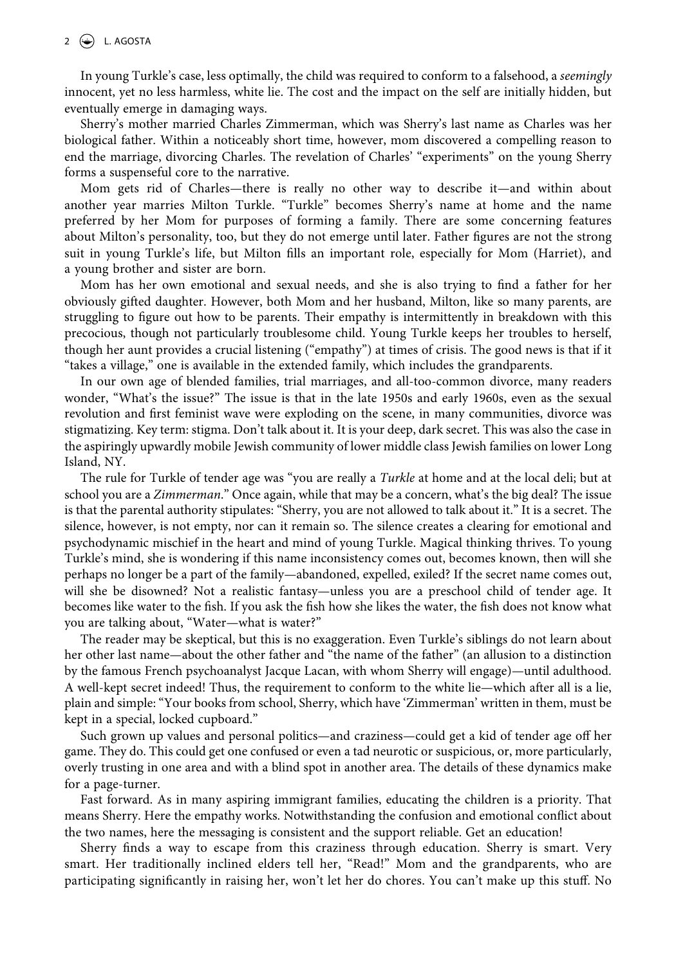In young Turkle's case, less optimally, the child was required to conform to a falsehood, a *seemingly*  innocent, yet no less harmless, white lie. The cost and the impact on the self are initially hidden, but eventually emerge in damaging ways.

Sherry's mother married Charles Zimmerman, which was Sherry's last name as Charles was her biological father. Within a noticeably short time, however, mom discovered a compelling reason to end the marriage, divorcing Charles. The revelation of Charles' "experiments" on the young Sherry forms a suspenseful core to the narrative.

Mom gets rid of Charles—there is really no other way to describe it—and within about another year marries Milton Turkle. "Turkle" becomes Sherry's name at home and the name preferred by her Mom for purposes of forming a family. There are some concerning features about Milton's personality, too, but they do not emerge until later. Father figures are not the strong suit in young Turkle's life, but Milton fills an important role, especially for Mom (Harriet), and a young brother and sister are born.

Mom has her own emotional and sexual needs, and she is also trying to find a father for her obviously gifted daughter. However, both Mom and her husband, Milton, like so many parents, are struggling to figure out how to be parents. Their empathy is intermittently in breakdown with this precocious, though not particularly troublesome child. Young Turkle keeps her troubles to herself, though her aunt provides a crucial listening ("empathy") at times of crisis. The good news is that if it "takes a village," one is available in the extended family, which includes the grandparents.

In our own age of blended families, trial marriages, and all-too-common divorce, many readers wonder, "What's the issue?" The issue is that in the late 1950s and early 1960s, even as the sexual revolution and first feminist wave were exploding on the scene, in many communities, divorce was stigmatizing. Key term: stigma. Don't talk about it. It is your deep, dark secret. This was also the case in the aspiringly upwardly mobile Jewish community of lower middle class Jewish families on lower Long Island, NY.

The rule for Turkle of tender age was "you are really a *Turkle* at home and at the local deli; but at school you are a *Zimmerman*." Once again, while that may be a concern, what's the big deal? The issue is that the parental authority stipulates: "Sherry, you are not allowed to talk about it." It is a secret. The silence, however, is not empty, nor can it remain so. The silence creates a clearing for emotional and psychodynamic mischief in the heart and mind of young Turkle. Magical thinking thrives. To young Turkle's mind, she is wondering if this name inconsistency comes out, becomes known, then will she perhaps no longer be a part of the family—abandoned, expelled, exiled? If the secret name comes out, will she be disowned? Not a realistic fantasy—unless you are a preschool child of tender age. It becomes like water to the fish. If you ask the fish how she likes the water, the fish does not know what you are talking about, "Water—what is water?"

The reader may be skeptical, but this is no exaggeration. Even Turkle's siblings do not learn about her other last name—about the other father and "the name of the father" (an allusion to a distinction by the famous French psychoanalyst Jacque Lacan, with whom Sherry will engage)—until adulthood. A well-kept secret indeed! Thus, the requirement to conform to the white lie—which after all is a lie, plain and simple: "Your books from school, Sherry, which have 'Zimmerman' written in them, must be kept in a special, locked cupboard."

Such grown up values and personal politics—and craziness—could get a kid of tender age off her game. They do. This could get one confused or even a tad neurotic or suspicious, or, more particularly, overly trusting in one area and with a blind spot in another area. The details of these dynamics make for a page-turner.

Fast forward. As in many aspiring immigrant families, educating the children is a priority. That means Sherry. Here the empathy works. Notwithstanding the confusion and emotional conflict about the two names, here the messaging is consistent and the support reliable. Get an education!

Sherry finds a way to escape from this craziness through education. Sherry is smart. Very smart. Her traditionally inclined elders tell her, "Read!" Mom and the grandparents, who are participating significantly in raising her, won't let her do chores. You can't make up this stuff. No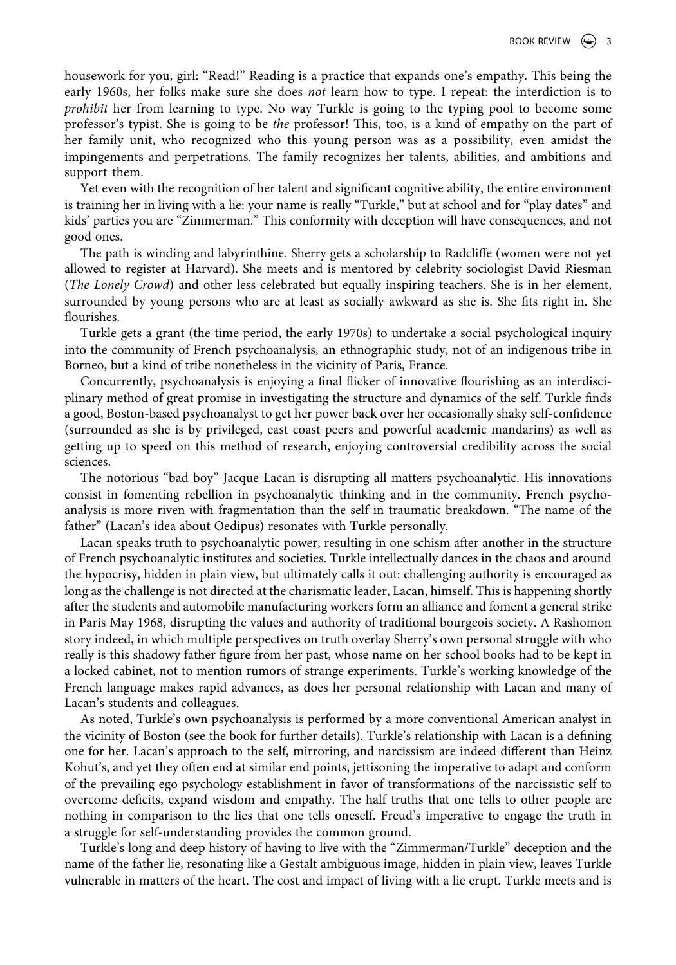housework for you, girl: "Read!" Reading is a practice that expands one's empathy. This being the early 1960s, her folks make sure she does *not* learn how to type. I repeat: the interdiction is to *prohibit* her from learning to type. No way Turkle is going to the typing pool to become some professor's typist. She is going to be *the* professor! This, too, is a kind of empathy on the part of her family unit, who recognized who this young person was as a possibility, even amidst the impingements and perpetrations. The family recognizes her talents, abilities, and ambitions and support them.

Yet even with the recognition of her talent and significant cognitive ability, the entire environment is training her in living with a lie: your name is really "Turkle," but at school and for "play dates" and kids' parties you are "Zimmerman." This conformity with deception will have consequences, and not good ones.

The path is winding and labyrinthine. Sherry gets a scholarship to Radcliffe (women were not yet allowed to register at Harvard). She meets and is mentored by celebrity sociologist David Riesman (*The Lonely Crowd*) and other less celebrated but equally inspiring teachers. She is in her element, surrounded by young persons who are at least as socially awkward as she is. She fits right in. She flourishes.

Turkle gets a grant (the time period, the early 1970s) to undertake a social psychological inquiry into the community of French psychoanalysis, an ethnographic study, not of an indigenous tribe in Borneo, but a kind of tribe nonetheless in the vicinity of Paris, France.

Concurrently, psychoanalysis is enjoying a final flicker of innovative flourishing as an interdisciplinary method of great promise in investigating the structure and dynamics of the self. Turkle finds a good, Boston-based psychoanalyst to get her power back over her occasionally shaky self-confidence (surrounded as she is by privileged, east coast peers and powerful academic mandarins) as well as getting up to speed on this method of research, enjoying controversial credibility across the social sciences.

The notorious "bad boy" Jacque Lacan is disrupting all matters psychoanalytic. His innovations consist in fomenting rebellion in psychoanalytic thinking and in the community. French psychoanalysis is more riven with fragmentation than the self in traumatic breakdown. "The name of the father" (Lacan's idea about Oedipus) resonates with Turkle personally.

Lacan speaks truth to psychoanalytic power, resulting in one schism after another in the structure of French psychoanalytic institutes and societies. Turkle intellectually dances in the chaos and around the hypocrisy, hidden in plain view, but ultimately calls it out: challenging authority is encouraged as long as the challenge is not directed at the charismatic leader, Lacan, himself. This is happening shortly after the students and automobile manufacturing workers form an alliance and foment a general strike in Paris May 1968, disrupting the values and authority of traditional bourgeois society. A Rashomon story indeed, in which multiple perspectives on truth overlay Sherry's own personal struggle with who really is this shadowy father figure from her past, whose name on her school books had to be kept in a locked cabinet, not to mention rumors of strange experiments. Turkle's working knowledge of the French language makes rapid advances, as does her personal relationship with Lacan and many of Lacan's students and colleagues.

As noted, Turkle's own psychoanalysis is performed by a more conventional American analyst in the vicinity of Boston (see the book for further details). Turkle's relationship with Lacan is a defining one for her. Lacan's approach to the self, mirroring, and narcissism are indeed different than Heinz Kohut's, and yet they often end at similar end points, jettisoning the imperative to adapt and conform of the prevailing ego psychology establishment in favor of transformations of the narcissistic self to overcome deficits, expand wisdom and empathy. The half truths that one tells to other people are nothing in comparison to the lies that one tells oneself. Freud's imperative to engage the truth in a struggle for self-understanding provides the common ground.

Turkle's long and deep history of having to live with the "Zimmerman/Turkle" deception and the name of the father lie, resonating like a Gestalt ambiguous image, hidden in plain view, leaves Turkle vulnerable in matters of the heart. The cost and impact of living with a lie erupt. Turkle meets and is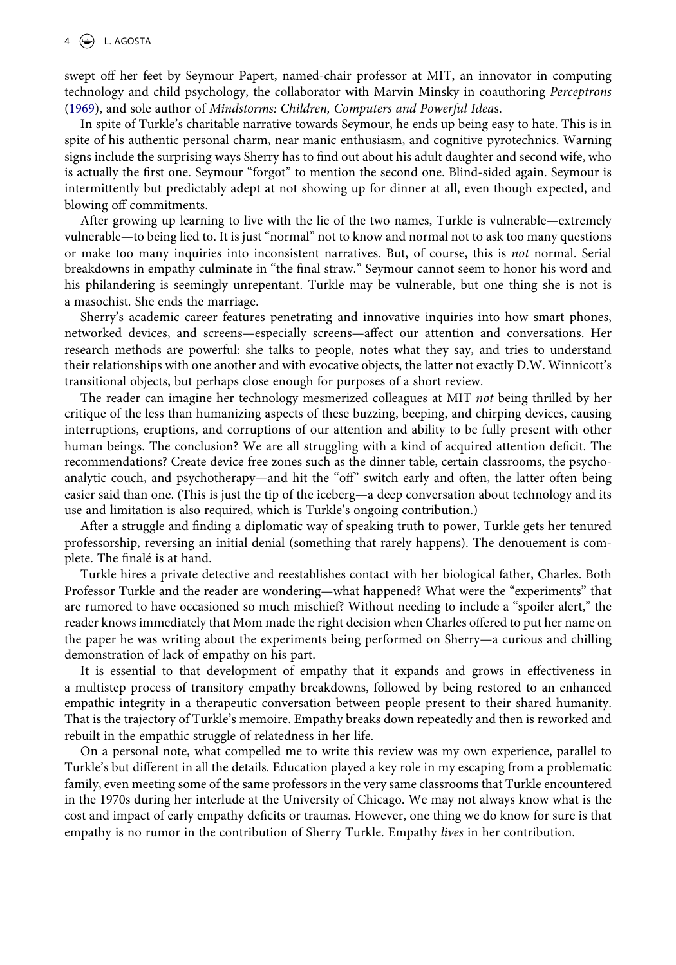swept off her feet by Seymour Papert, named-chair professor at MIT, an innovator in computing technology and child psychology, the collaborator with Marvin Minsky in coauthoring *Perceptrons*  [\(1969\)](#page-5-6), and sole author of *Mindstorms: Children, Computers and Powerful Idea*s.

<span id="page-4-0"></span>In spite of Turkle's charitable narrative towards Seymour, he ends up being easy to hate. This is in spite of his authentic personal charm, near manic enthusiasm, and cognitive pyrotechnics. Warning signs include the surprising ways Sherry has to find out about his adult daughter and second wife, who is actually the first one. Seymour "forgot" to mention the second one. Blind-sided again. Seymour is intermittently but predictably adept at not showing up for dinner at all, even though expected, and blowing off commitments.

After growing up learning to live with the lie of the two names, Turkle is vulnerable—extremely vulnerable—to being lied to. It is just "normal" not to know and normal not to ask too many questions or make too many inquiries into inconsistent narratives. But, of course, this is *not* normal. Serial breakdowns in empathy culminate in "the final straw." Seymour cannot seem to honor his word and his philandering is seemingly unrepentant. Turkle may be vulnerable, but one thing she is not is a masochist. She ends the marriage.

Sherry's academic career features penetrating and innovative inquiries into how smart phones, networked devices, and screens—especially screens—affect our attention and conversations. Her research methods are powerful: she talks to people, notes what they say, and tries to understand their relationships with one another and with evocative objects, the latter not exactly D.W. Winnicott's transitional objects, but perhaps close enough for purposes of a short review.

The reader can imagine her technology mesmerized colleagues at MIT *not* being thrilled by her critique of the less than humanizing aspects of these buzzing, beeping, and chirping devices, causing interruptions, eruptions, and corruptions of our attention and ability to be fully present with other human beings. The conclusion? We are all struggling with a kind of acquired attention deficit. The recommendations? Create device free zones such as the dinner table, certain classrooms, the psychoanalytic couch, and psychotherapy—and hit the "off" switch early and often, the latter often being easier said than one. (This is just the tip of the iceberg—a deep conversation about technology and its use and limitation is also required, which is Turkle's ongoing contribution.)

After a struggle and finding a diplomatic way of speaking truth to power, Turkle gets her tenured professorship, reversing an initial denial (something that rarely happens). The denouement is complete. The finalé is at hand.

Turkle hires a private detective and reestablishes contact with her biological father, Charles. Both Professor Turkle and the reader are wondering—what happened? What were the "experiments" that are rumored to have occasioned so much mischief? Without needing to include a "spoiler alert," the reader knows immediately that Mom made the right decision when Charles offered to put her name on the paper he was writing about the experiments being performed on Sherry—a curious and chilling demonstration of lack of empathy on his part.

It is essential to that development of empathy that it expands and grows in effectiveness in a multistep process of transitory empathy breakdowns, followed by being restored to an enhanced empathic integrity in a therapeutic conversation between people present to their shared humanity. That is the trajectory of Turkle's memoire. Empathy breaks down repeatedly and then is reworked and rebuilt in the empathic struggle of relatedness in her life.

On a personal note, what compelled me to write this review was my own experience, parallel to Turkle's but different in all the details. Education played a key role in my escaping from a problematic family, even meeting some of the same professors in the very same classrooms that Turkle encountered in the 1970s during her interlude at the University of Chicago. We may not always know what is the cost and impact of early empathy deficits or traumas. However, one thing we do know for sure is that empathy is no rumor in the contribution of Sherry Turkle. Empathy *lives* in her contribution.